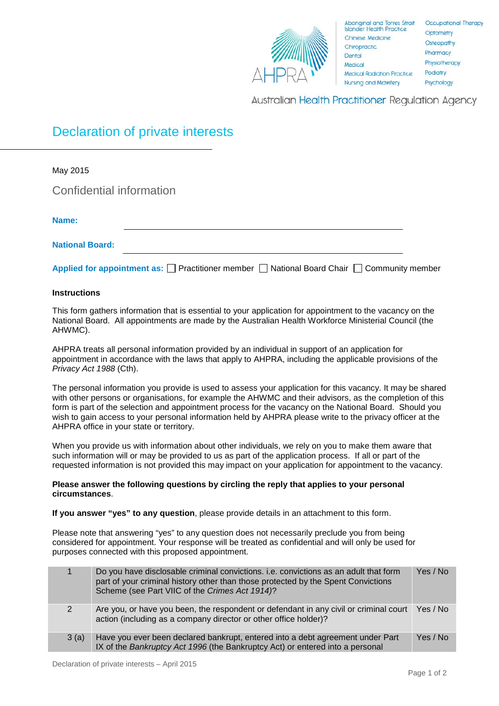

**Australian Health Practitioner Regulation Agency** 

## Declaration of private interests

| May 2015                                                                                                   |  |
|------------------------------------------------------------------------------------------------------------|--|
| Confidential information                                                                                   |  |
| Name:                                                                                                      |  |
|                                                                                                            |  |
| <b>National Board:</b>                                                                                     |  |
| Applied for appointment as: $\Box$ Practitioner member $\Box$ National Board Chair $\Box$ Community member |  |

## **Instructions**

This form gathers information that is essential to your application for appointment to the vacancy on the National Board. All appointments are made by the Australian Health Workforce Ministerial Council (the AHWMC).

AHPRA treats all personal information provided by an individual in support of an application for appointment in accordance with the laws that apply to AHPRA, including the applicable provisions of the *Privacy Act 1988* (Cth).

The personal information you provide is used to assess your application for this vacancy. It may be shared with other persons or organisations, for example the AHWMC and their advisors, as the completion of this form is part of the selection and appointment process for the vacancy on the National Board. Should you wish to gain access to your personal information held by AHPRA please write to the privacy officer at the AHPRA office in your state or territory.

When you provide us with information about other individuals, we rely on you to make them aware that such information will or may be provided to us as part of the application process. If all or part of the requested information is not provided this may impact on your application for appointment to the vacancy.

## **Please answer the following questions by circling the reply that applies to your personal circumstances**.

**If you answer "yes" to any question**, please provide details in an attachment to this form.

Please note that answering "yes" to any question does not necessarily preclude you from being considered for appointment. Your response will be treated as confidential and will only be used for purposes connected with this proposed appointment.

|                | Do you have disclosable criminal convictions. i.e. convictions as an adult that form<br>part of your criminal history other than those protected by the Spent Convictions<br>Scheme (see Part VIIC of the Crimes Act 1914)? | Yes / No |
|----------------|-----------------------------------------------------------------------------------------------------------------------------------------------------------------------------------------------------------------------------|----------|
| $\overline{2}$ | Are you, or have you been, the respondent or defendant in any civil or criminal court Yes / No<br>action (including as a company director or other office holder)?                                                          |          |
| 3(a)           | Have you ever been declared bankrupt, entered into a debt agreement under Part<br>IX of the Bankruptcy Act 1996 (the Bankruptcy Act) or entered into a personal                                                             | Yes / No |